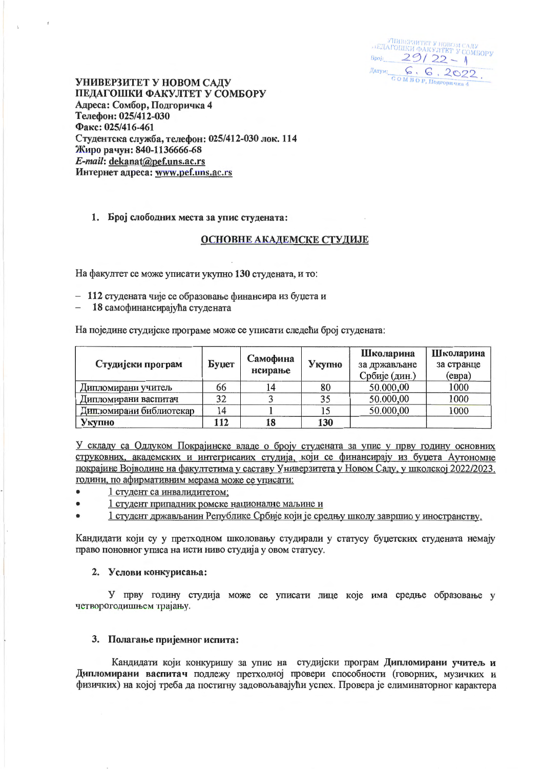.<br>ГЕДАГОШКИ ФАКУЛТЕТ У СОМБОРУ  $Spoj. 29/22-1$  $\frac{\mathcal{L}}{\mathcal{L}}_{\text{GOM B O P, Hoapopman}_4} \frac{\mathcal{L}}{\mathcal{L}} \frac{\mathcal{L}}{\mathcal{L}} \frac{\mathcal{L}}{\mathcal{L}} \frac{\mathcal{L}}{\mathcal{L}} \frac{\mathcal{L}}{\mathcal{L}} \frac{\mathcal{L}}{\mathcal{L}} \frac{\mathcal{L}}{\mathcal{L}}}.$ 

УНИВЕРЗИТЕТ У НОВОМ САДУ ПЕДАГОШКИ ФАКУЛТЕТ У СОМБОРУ Адреса: Сомбор, Подгоричка 4 Телефон: 025/412-030 Факс: 025/416-461 Студентска служба, телефон: 025/412-030 лок. 114 Жиро рачун: 840-1136666-68 E-mail: dekanat@pef.uns.ac.rs Интернет адреса: www.pef.uns.ac.rs

## 1. Број слободних места за упис студената:

### ОСНОВНЕ АКАДЕМСКЕ СТУДИЈЕ

На факултет се може уписати укупно 130 студената, и то:

- 112 студената чије се образовање финансира из буџета и

18 самофинансирајућа студената

На поједине студијске програме може се уписати следећи број студената:

| Студијски програм       | Буџет | Самофина<br>нсирање | Укупно | Школарина<br>за држављане<br>Србије (дин.) | Школарина<br>за странце<br>$(e$ вра) |
|-------------------------|-------|---------------------|--------|--------------------------------------------|--------------------------------------|
| Дипломирани учитель     | 66    |                     | 80     | 50.000,00                                  | 1000                                 |
| Дипломирани васпитач    | 32    |                     | 35     | 50.000,00                                  | 1000                                 |
| Дипломирани библиотекар | 14    |                     |        | 50.000,00                                  | 1000                                 |
| Укупно                  | 112   | 18                  | 130    |                                            |                                      |

У складу са Одлуком Покрајинске владе о броју студената за упис у прву годину основних струковних, академских и интегрисаних студија, који се финансирају из буџета Аутономне покрајине Војводине на факултетима у саставу Универзитета у Новом Саду, у школској 2022/2023. години, по афирмативним мерама може се уписати:

- 1 студент са инвалидитетом;
- 1 студент припадник ромске националие маљине и
- 1 студент држављанин Републике Србије који је средњу школу завршио у иностранству.

Кандидати који су у претходном школовању студирали у статусу буџетских студената немају право поновног уписа на исти ниво студија у овом статусу.

#### 2. Услови конкурисања:

У прву годину студија може се уписати лице које има средње образовање у четворсгодишњем трајању.

#### 3. Полагање пријемног испита:

Кандидати који конкуришу за упис на студијски програм Дипломирани учитељ и Дипломирани васпитач подлежу претходној провери способности (говорних, музичких и физичких) на којој треба да постигну задовољавајући успех. Провера је елиминаторног карактера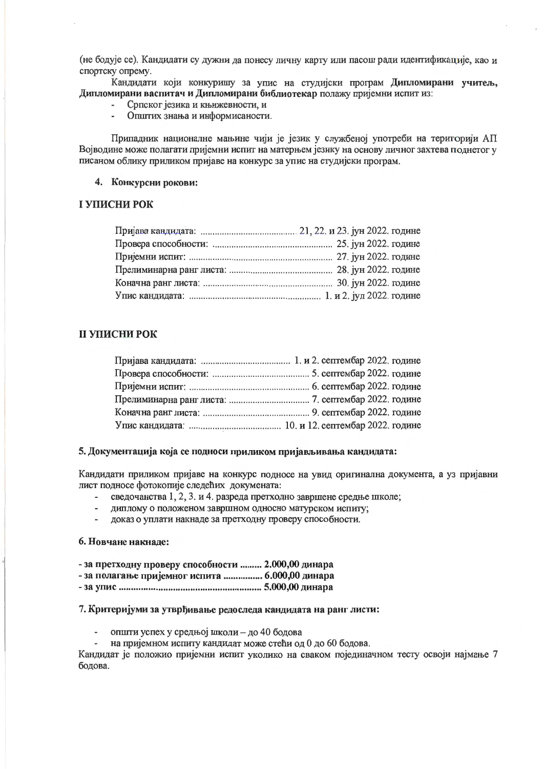(не бодује се). Кандидати су дужни да понесу личну карту или пасош ради идентификације, као и спортску опрему.

Кандидати који конкуришу за упис на студијски програм Дипломирани учитељ, Дипломирани васпитач и Дипломирани библиотекар полажу пријемни испит из:

- Српског језика и књижевности, и
- Општих знања и информисаности.

Припадник националне мањине чији је језик у службеној употреби на територији АП Војводине може полагати пријемни испит на матерњем језику на основу личног захтева поднетог у писаном облику приликом пријаве на конкурс за упис на студијски програм.

### 4. Конкурсни рокови:

## І УПИСНИ РОК

## **II УПИСНИ РОК**

#### 5. Документација која се подноси приликом пријављивања кандидата:

Кандидати приликом пријаве на конкурс подносе на увид оригинална документа, а уз пријавни лист подносе фотокопије следећих докумената:

- сведочанства 1, 2, 3. и 4. разреда претходно завршене средње школе;
- диплому о положеном завршном односно матурском испиту;
- доказ о уплати накнаде за претходну проверу способности.  $\overline{\phantom{a}}$

#### 6. Новчане накнале:

- за претходну проверу способности ......... 2.000,00 динара
- за полагање пријемног испита ................ 6.000,00 динара
- 

# 7. Критеријуми за утврђивање редоследа кандидата на ранг листи:

- општи успех у средњој школи - до 40 бодова

- на пријемном испиту кандидат може стећи од 0 до 60 бодова.

Кандидат је положио пријемни испит уколико на сваком појединачном тесту освоји најмање 7 бодова.